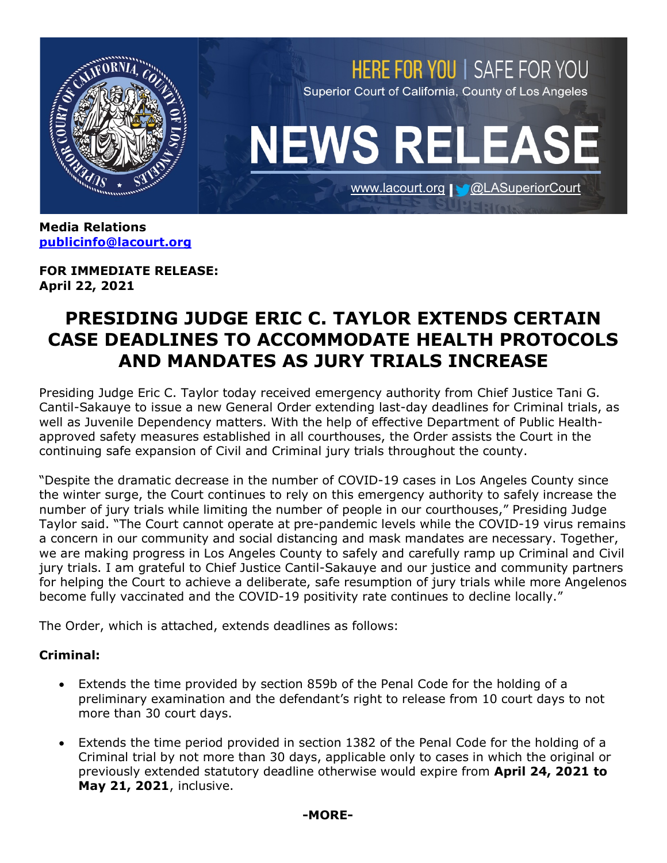

**Media Relations [publicinfo@lacourt.org](mailto:publicinfo@lacourt.org)**

**FOR IMMEDIATE RELEASE: April 22, 2021**

# **PRESIDING JUDGE ERIC C. TAYLOR EXTENDS CERTAIN CASE DEADLINES TO ACCOMMODATE HEALTH PROTOCOLS AND MANDATES AS JURY TRIALS INCREASE**

Presiding Judge Eric C. Taylor today received emergency authority from Chief Justice Tani G. Cantil-Sakauye to issue a new General Order extending last-day deadlines for Criminal trials, as well as Juvenile Dependency matters. With the help of effective Department of Public Healthapproved safety measures established in all courthouses, the Order assists the Court in the continuing safe expansion of Civil and Criminal jury trials throughout the county.

"Despite the dramatic decrease in the number of COVID-19 cases in Los Angeles County since the winter surge, the Court continues to rely on this emergency authority to safely increase the number of jury trials while limiting the number of people in our courthouses," Presiding Judge Taylor said. "The Court cannot operate at pre-pandemic levels while the COVID-19 virus remains a concern in our community and social distancing and mask mandates are necessary. Together, we are making progress in Los Angeles County to safely and carefully ramp up Criminal and Civil jury trials. I am grateful to Chief Justice Cantil-Sakauye and our justice and community partners for helping the Court to achieve a deliberate, safe resumption of jury trials while more Angelenos become fully vaccinated and the COVID-19 positivity rate continues to decline locally."

The Order, which is attached, extends deadlines as follows:

# **Criminal:**

- Extends the time provided by section 859b of the Penal Code for the holding of a preliminary examination and the defendant's right to release from 10 court days to not more than 30 court days.
- Extends the time period provided in section 1382 of the Penal Code for the holding of a Criminal trial by not more than 30 days, applicable only to cases in which the original or previously extended statutory deadline otherwise would expire from **April 24, 2021 to May 21, 2021**, inclusive.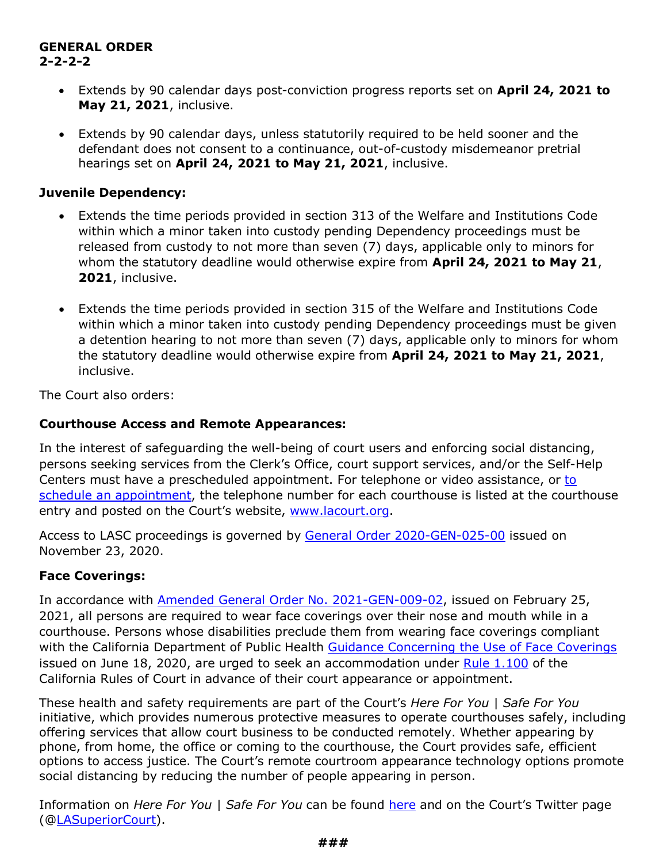## **GENERAL ORDER 2-2-2-2**

- Extends by 90 calendar days post-conviction progress reports set on **April 24, 2021 to May 21, 2021**, inclusive.
- Extends by 90 calendar days, unless statutorily required to be held sooner and the defendant does not consent to a continuance, out-of-custody misdemeanor pretrial hearings set on **April 24, 2021 to May 21, 2021**, inclusive.

## **Juvenile Dependency:**

- Extends the time periods provided in section 313 of the Welfare and Institutions Code within which a minor taken into custody pending Dependency proceedings must be released from custody to not more than seven (7) days, applicable only to minors for whom the statutory deadline would otherwise expire from **April 24, 2021 to May 21**, **2021**, inclusive.
- Extends the time periods provided in section 315 of the Welfare and Institutions Code within which a minor taken into custody pending Dependency proceedings must be given a detention hearing to not more than seven (7) days, applicable only to minors for whom the statutory deadline would otherwise expire from **April 24, 2021 to May 21, 2021**, inclusive.

The Court also orders:

## **Courthouse Access and Remote Appearances:**

In the interest of safeguarding the well-being of court users and enforcing social distancing, persons seeking services from the Clerk's Office, court support services, and/or the Self-Help Centers must have a prescheduled appointment. For telephone or video assistance, or to [schedule an appointment,](http://www.lacourt.org/newsmedia/Uploads/142020641348143AppointmentsNeededtoEnterCourthouse.pdf) the telephone number for each courthouse is listed at the courthouse entry and posted on the Court's website, [www.lacourt.org.](http://www.lacourt.org/)

Access to LASC proceedings is governed by [General Order 2020-GEN-025-00](http://www.lacourt.org/newsmedia/uploads/14202011231738222020-GEN-025-00AdministrativeOrderofPJreCOVID-19112320(003).pdf) issued on November 23, 2020.

# **Face Coverings:**

In accordance with [Amended General Order No. 2021-GEN-009-02,](http://www.lacourt.org/newsmedia/uploads/14202122517492021-GEN-009-02AdministrativeOrderofPJreFacialCoveringsandSocialDistancing022521.pdf) issued on February 25, 2021, all persons are required to wear face coverings over their nose and mouth while in a courthouse. Persons whose disabilities preclude them from wearing face coverings compliant with the California Department of Public Health [Guidance Concerning the Use of Face Coverings](https://www.cdph.ca.gov/Programs/CID/DCDC/CDPH%20Document%20Library/COVID-19/Guidance-for-Face-Coverings_06-18-2020.pdf) issued on June 18, 2020, are urged to seek an accommodation under [Rule 1.100](https://www.courts.ca.gov/cms/rules/index.cfm?title=one&linkid=rule1_100) of the California Rules of Court in advance of their court appearance or appointment.

These health and safety requirements are part of the Court's *Here For You | Safe For You* initiative, which provides numerous protective measures to operate courthouses safely, including offering services that allow court business to be conducted remotely. Whether appearing by phone, from home, the office or coming to the courthouse, the Court provides safe, efficient options to access justice. The Court's remote courtroom appearance technology options promote social distancing by reducing the number of people appearing in person.

Information on *Here For You | Safe For You* can be found [here](http://www.lacourt.org/newsmedia/ui/HfySfy.aspx) and on the Court's Twitter page ([@LASuperiorCourt\)](https://twitter.com/LASuperiorCourt).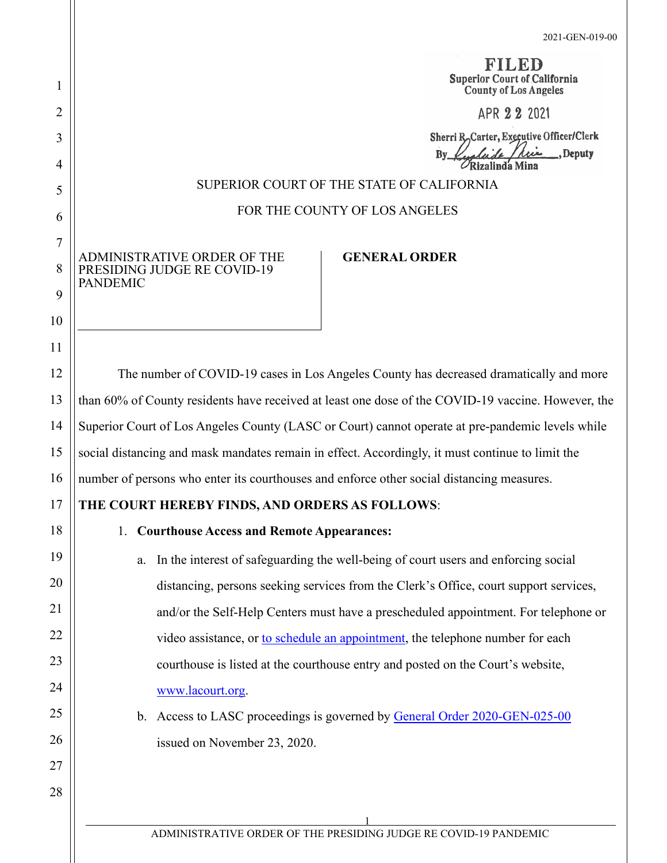FILED **Superior Court of California County of Los Angeles** APR 2 2 2021

Sherri R.Carter, Executive Officer/Clerk  $\mathbf{B}\mathbf{y}$ Deputy  $\mathcal{O}_{\mathbf{R}$ izalinda Mina

#### SUPERIOR COURT OF THE STATE OF CALIFORNIA

#### FOR THE COUNTY OF LOS ANGELES

ADMINISTRATIVE ORDER OF THE PRESIDING JUDGE RE COVID-19 PANDEMIC

# **GENERAL ORDER**

The number of COVID-19 cases in Los Angeles County has decreased dramatically and more than 60% of County residents have received at least one dose of the COVID-19 vaccine. However, the Superior Court of Los Angeles County (LASC or Court) cannot operate at pre-pandemic levels while social distancing and mask mandates remain in effect. Accordingly, it must continue to limit the number of persons who enter its courthouses and enforce other social distancing measures.

# **THE COURT HEREBY FINDS, AND ORDERS AS FOLLOWS**:

#### 1. **Courthouse Access and Remote Appearances:**

- a. In the interest of safeguarding the well-being of court users and enforcing social distancing, persons seeking services from the Clerk's Office, court support services, and/or the Self-Help Centers must have a prescheduled appointment. For telephone or video assistance, or [to schedule an appointment,](http://www.lacourt.org/newsmedia/Uploads/142020641348143AppointmentsNeededtoEnterCourthouse.pdf) the telephone number for each courthouse is listed at the courthouse entry and posted on the Court's website, [www.lacourt.org.](http://www.lacourt.org/)
- b. Access to LASC proceedings is governed by [General Order 2020-GEN-025-00](http://www.lacourt.org/newsmedia/uploads/14202011231738222020-GEN-025-00AdministrativeOrderofPJreCOVID-19112320(003).pdf) issued on November 23, 2020.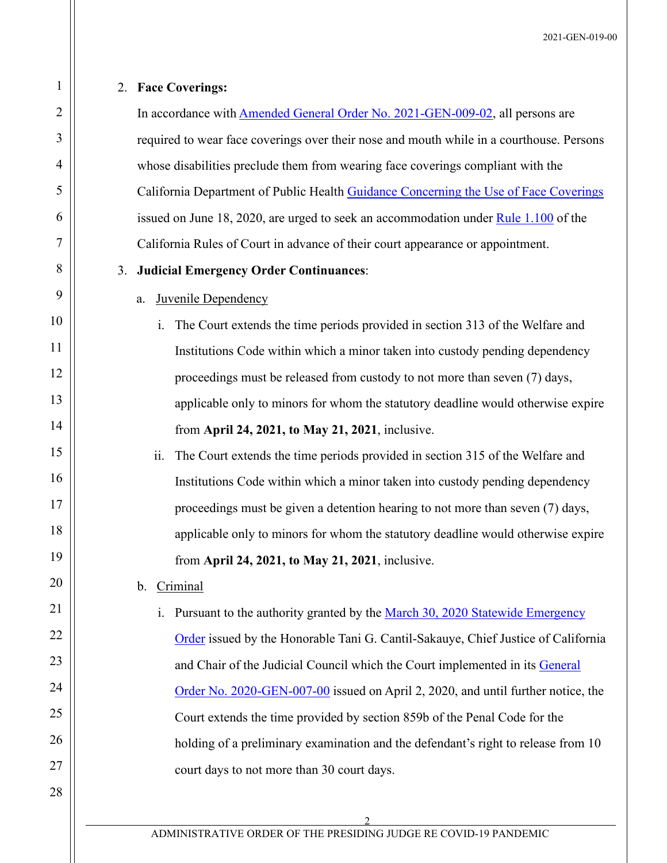#### 2. **Face Coverings:**

1

2

3

4

5

6

7

8

9

10

11

12

13

14

15

16

17

18

19

20

21

22

23

24

25

26

27

28

In accordance with **Amended General Order No. 2021-GEN-009-02**, all persons are required to wear face coverings over their nose and mouth while in a courthouse. Persons whose disabilities preclude them from wearing face coverings compliant with the California Department of Public Health [Guidance Concerning the Use of Face Coverings](https://www.cdph.ca.gov/Programs/CID/DCDC/CDPH%20Document%20Library/COVID-19/Guidance-for-Face-Coverings_06-18-2020.pdf) issued on June 18, 2020, are urged to seek an accommodation under [Rule 1.100](https://www.courts.ca.gov/cms/rules/index.cfm?title=one&linkid=rule1_100) of the California Rules of Court in advance of their court appearance or appointment.

#### 3. **Judicial Emergency Order Continuances**:

#### a. Juvenile Dependency

i. The Court extends the time periods provided in section 313 of the Welfare and Institutions Code within which a minor taken into custody pending dependency proceedings must be released from custody to not more than seven (7) days, applicable only to minors for whom the statutory deadline would otherwise expire from **April 24, 2021, to May 21, 2021**, inclusive.

ii. The Court extends the time periods provided in section 315 of the Welfare and Institutions Code within which a minor taken into custody pending dependency proceedings must be given a detention hearing to not more than seven (7) days, applicable only to minors for whom the statutory deadline would otherwise expire from **April 24, 2021, to May 21, 2021**, inclusive.

#### b. Criminal

i. Pursuant to the authority granted by the March 30, 2020 Statewide Emergency [Order](http://www.lacourt.org/newsmedia/uploads/142020431048StatewideOrderbytheChiefJustice-ChairoftheJudicialCouncil03-30-2020.pdf) issued by the Honorable Tani G. Cantil-Sakauye, Chief Justice of California and Chair of the Judicial Council which the Court implemented in its General [Order No. 2020-GEN-007-00](http://www.lacourt.org/newsmedia/uploads/142020431420492020-GEN-007-00AdministrativeOrderofPJreCOVID-19040220(006).pdf) issued on April 2, 2020, and until further notice, the Court extends the time provided by section 859b of the Penal Code for the holding of a preliminary examination and the defendant's right to release from 10 court days to not more than 30 court days.